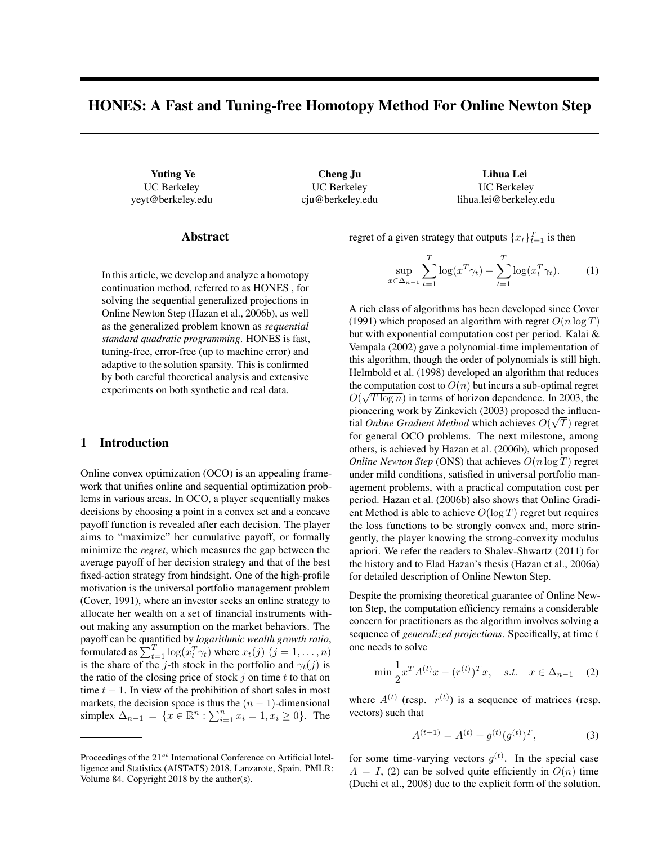# HONES: A Fast and Tuning-free Homotopy Method For Online Newton Step

UC Berkeley yeyt@berkeley.edu

Yuting Ye Cheng Ju Lihua Lei UC Berkeley cju@berkeley.edu

UC Berkeley lihua.lei@berkeley.edu

### Abstract

In this article, we develop and analyze a homotopy continuation method, referred to as HONES , for solving the sequential generalized projections in Online Newton Step (Hazan et al., 2006b), as well as the generalized problem known as *sequential standard quadratic programming*. HONES is fast, tuning-free, error-free (up to machine error) and adaptive to the solution sparsity. This is confirmed by both careful theoretical analysis and extensive experiments on both synthetic and real data.

### 1 Introduction

Online convex optimization (OCO) is an appealing framework that unifies online and sequential optimization problems in various areas. In OCO, a player sequentially makes decisions by choosing a point in a convex set and a concave payoff function is revealed after each decision. The player aims to "maximize" her cumulative payoff, or formally minimize the *regret*, which measures the gap between the average payoff of her decision strategy and that of the best fixed-action strategy from hindsight. One of the high-profile motivation is the universal portfolio management problem (Cover, 1991), where an investor seeks an online strategy to allocate her wealth on a set of financial instruments without making any assumption on the market behaviors. The payoff can be quantified by *logarithmic wealth growth ratio*, formulated as  $\sum_{t=1}^{T} \log(x_t^T \gamma_t)$  where  $x_t(j)$   $(j = 1, ..., n)$ is the share of the j-th stock in the portfolio and  $\gamma_t(j)$  is the ratio of the closing price of stock  $j$  on time  $t$  to that on time  $t - 1$ . In view of the prohibition of short sales in most markets, the decision space is thus the  $(n - 1)$ -dimensional simplex  $\Delta_{n-1} = \{x \in \mathbb{R}^n : \sum_{i=1}^n x_i = 1, x_i \ge 0\}$ . The

regret of a given strategy that outputs  $\{x_t\}_{t=1}^T$  is then

$$
\sup_{x \in \Delta_{n-1}} \sum_{t=1}^T \log(x^T \gamma_t) - \sum_{t=1}^T \log(x_t^T \gamma_t). \tag{1}
$$

A rich class of algorithms has been developed since Cover (1991) which proposed an algorithm with regret  $O(n \log T)$ but with exponential computation cost per period. Kalai & Vempala (2002) gave a polynomial-time implementation of this algorithm, though the order of polynomials is still high. Helmbold et al. (1998) developed an algorithm that reduces the computation cost to  $O(n)$  but incurs a sub-optimal regret  $O(\sqrt{T \log n})$  in terms of horizon dependence. In 2003, the pioneering work by Zinkevich (2003) proposed the influential *Online Gradient Method* which achieves  $O(\sqrt{T})$  regret for general OCO problems. The next milestone, among others, is achieved by Hazan et al. (2006b), which proposed *Online Newton Step* (ONS) that achieves  $O(n \log T)$  regret under mild conditions, satisfied in universal portfolio management problems, with a practical computation cost per period. Hazan et al. (2006b) also shows that Online Gradient Method is able to achieve  $O(\log T)$  regret but requires the loss functions to be strongly convex and, more stringently, the player knowing the strong-convexity modulus apriori. We refer the readers to Shalev-Shwartz (2011) for the history and to Elad Hazan's thesis (Hazan et al., 2006a) for detailed description of Online Newton Step.

Despite the promising theoretical guarantee of Online Newton Step, the computation efficiency remains a considerable concern for practitioners as the algorithm involves solving a sequence of *generalized projections*. Specifically, at time t one needs to solve

$$
\min \frac{1}{2} x^T A^{(t)} x - (r^{(t)})^T x, \quad s.t. \quad x \in \Delta_{n-1} \quad (2)
$$

where  $A^{(t)}$  (resp.  $r^{(t)}$ ) is a sequence of matrices (resp. vectors) such that

$$
A^{(t+1)} = A^{(t)} + g^{(t)}(g^{(t)})^T,
$$
\n(3)

for some time-varying vectors  $g^{(t)}$ . In the special case  $A = I$ , (2) can be solved quite efficiently in  $O(n)$  time (Duchi et al., 2008) due to the explicit form of the solution.

Proceedings of the  $21^{st}$  International Conference on Artificial Intelligence and Statistics (AISTATS) 2018, Lanzarote, Spain. PMLR: Volume 84. Copyright 2018 by the author(s).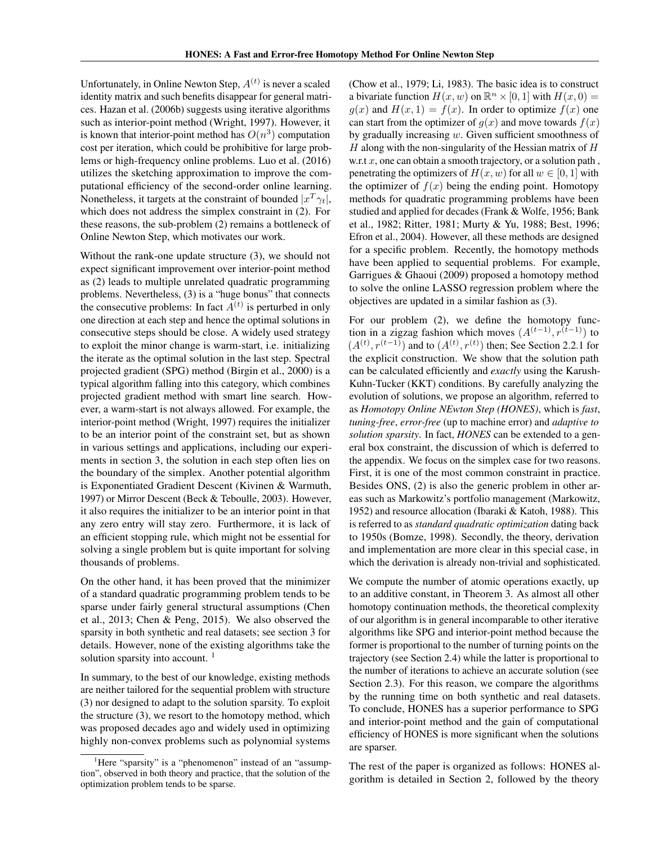Unfortunately, in Online Newton Step,  $A^{(t)}$  is never a scaled identity matrix and such benefits disappear for general matrices. Hazan et al. (2006b) suggests using iterative algorithms such as interior-point method (Wright, 1997). However, it is known that interior-point method has  $O(n^3)$  computation cost per iteration, which could be prohibitive for large problems or high-frequency online problems. Luo et al. (2016) utilizes the sketching approximation to improve the computational efficiency of the second-order online learning. Nonetheless, it targets at the constraint of bounded  $|x^T \gamma_t|$ , which does not address the simplex constraint in (2). For these reasons, the sub-problem (2) remains a bottleneck of Online Newton Step, which motivates our work.

Without the rank-one update structure (3), we should not expect significant improvement over interior-point method as (2) leads to multiple unrelated quadratic programming problems. Nevertheless, (3) is a "huge bonus" that connects the consecutive problems: In fact  $A^{(t)}$  is perturbed in only one direction at each step and hence the optimal solutions in consecutive steps should be close. A widely used strategy to exploit the minor change is warm-start, i.e. initializing the iterate as the optimal solution in the last step. Spectral projected gradient (SPG) method (Birgin et al., 2000) is a typical algorithm falling into this category, which combines projected gradient method with smart line search. However, a warm-start is not always allowed. For example, the interior-point method (Wright, 1997) requires the initializer to be an interior point of the constraint set, but as shown in various settings and applications, including our experiments in section 3, the solution in each step often lies on the boundary of the simplex. Another potential algorithm is Exponentiated Gradient Descent (Kivinen & Warmuth, 1997) or Mirror Descent (Beck & Teboulle, 2003). However, it also requires the initializer to be an interior point in that any zero entry will stay zero. Furthermore, it is lack of an efficient stopping rule, which might not be essential for solving a single problem but is quite important for solving thousands of problems.

On the other hand, it has been proved that the minimizer of a standard quadratic programming problem tends to be sparse under fairly general structural assumptions (Chen et al., 2013; Chen & Peng, 2015). We also observed the sparsity in both synthetic and real datasets; see section 3 for details. However, none of the existing algorithms take the solution sparsity into account.<sup>1</sup>

In summary, to the best of our knowledge, existing methods are neither tailored for the sequential problem with structure (3) nor designed to adapt to the solution sparsity. To exploit the structure (3), we resort to the homotopy method, which was proposed decades ago and widely used in optimizing highly non-convex problems such as polynomial systems

(Chow et al., 1979; Li, 1983). The basic idea is to construct a bivariate function  $H(x, w)$  on  $\mathbb{R}^n \times [0, 1]$  with  $H(x, 0) =$  $g(x)$  and  $H(x, 1) = f(x)$ . In order to optimize  $f(x)$  one can start from the optimizer of  $g(x)$  and move towards  $f(x)$ by gradually increasing  $w$ . Given sufficient smoothness of H along with the non-singularity of the Hessian matrix of  $H$ w.r.t  $x$ , one can obtain a smooth trajectory, or a solution path, penetrating the optimizers of  $H(x, w)$  for all  $w \in [0, 1]$  with the optimizer of  $f(x)$  being the ending point. Homotopy methods for quadratic programming problems have been studied and applied for decades (Frank & Wolfe, 1956; Bank et al., 1982; Ritter, 1981; Murty & Yu, 1988; Best, 1996; Efron et al., 2004). However, all these methods are designed for a specific problem. Recently, the homotopy methods have been applied to sequential problems. For example, Garrigues & Ghaoui (2009) proposed a homotopy method to solve the online LASSO regression problem where the objectives are updated in a similar fashion as (3).

For our problem (2), we define the homotopy function in a zigzag fashion which moves  $(A^{(t-1)}, r^{(t-1)})$  to  $(A<sup>(t)</sup>, r<sup>(t-1)</sup>)$  and to  $(A<sup>(t)</sup>, r<sup>(t)</sup>)$  then; See Section 2.2.1 for the explicit construction. We show that the solution path can be calculated efficiently and *exactly* using the Karush-Kuhn-Tucker (KKT) conditions. By carefully analyzing the evolution of solutions, we propose an algorithm, referred to as *Homotopy Online NEwton Step (HONES)*, which is *fast*, *tuning-free*, *error-free* (up to machine error) and *adaptive to solution sparsity*. In fact, *HONES* can be extended to a general box constraint, the discussion of which is deferred to the appendix. We focus on the simplex case for two reasons. First, it is one of the most common constraint in practice. Besides ONS, (2) is also the generic problem in other areas such as Markowitz's portfolio management (Markowitz, 1952) and resource allocation (Ibaraki & Katoh, 1988). This is referred to as *standard quadratic optimization* dating back to 1950s (Bomze, 1998). Secondly, the theory, derivation and implementation are more clear in this special case, in which the derivation is already non-trivial and sophisticated.

We compute the number of atomic operations exactly, up to an additive constant, in Theorem 3. As almost all other homotopy continuation methods, the theoretical complexity of our algorithm is in general incomparable to other iterative algorithms like SPG and interior-point method because the former is proportional to the number of turning points on the trajectory (see Section 2.4) while the latter is proportional to the number of iterations to achieve an accurate solution (see Section 2.3). For this reason, we compare the algorithms by the running time on both synthetic and real datasets. To conclude, HONES has a superior performance to SPG and interior-point method and the gain of computational efficiency of HONES is more significant when the solutions are sparser.

The rest of the paper is organized as follows: HONES algorithm is detailed in Section 2, followed by the theory

<sup>&</sup>lt;sup>1</sup>Here "sparsity" is a "phenomenon" instead of an "assumption", observed in both theory and practice, that the solution of the optimization problem tends to be sparse.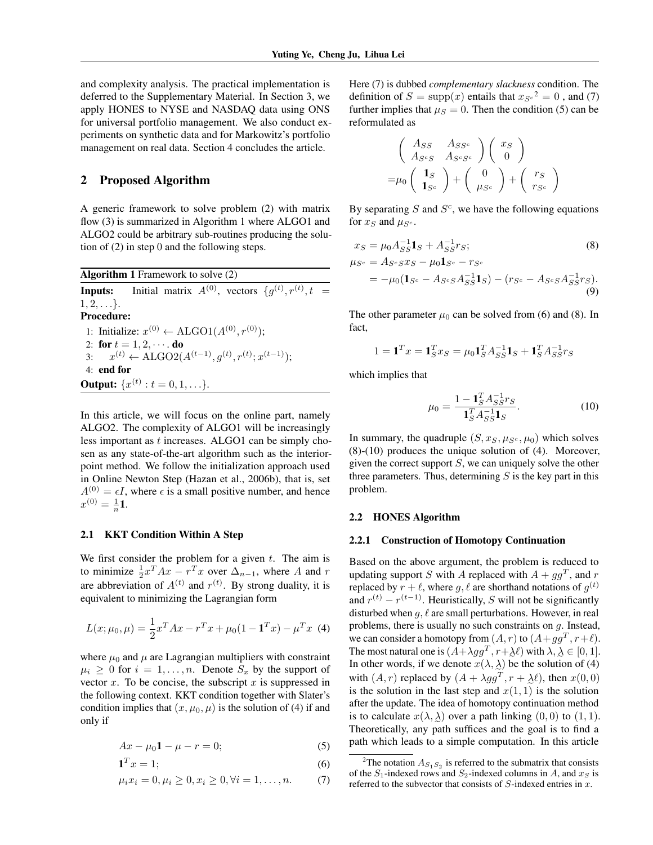and complexity analysis. The practical implementation is deferred to the Supplementary Material. In Section 3, we apply HONES to NYSE and NASDAQ data using ONS for universal portfolio management. We also conduct experiments on synthetic data and for Markowitz's portfolio management on real data. Section 4 concludes the article.

## 2 Proposed Algorithm

A generic framework to solve problem (2) with matrix flow (3) is summarized in Algorithm 1 where ALGO1 and ALGO2 could be arbitrary sub-routines producing the solution of (2) in step 0 and the following steps.

Algorithm 1 Framework to solve (2) **Inputs:** Initial matrix  $A^{(0)}$ , vectors  $\{g^{(t)}, r^{(t)}, t =$  $1, 2, \ldots$ . Procedure: 1: Initialize:  $x^{(0)}$  ← ALGO1( $A^{(0)}, r^{(0)}$ ); 2: for  $t = 1, 2, \cdots$  do 3:  $x^{(t)} \leftarrow \text{ALGO2}(A^{(t-1)}, g^{(t)}, r^{(t)}; x^{(t-1)});$ 4: end for **Output:**  $\{x^{(t)}: t = 0, 1, \ldots\}.$ 

In this article, we will focus on the online part, namely ALGO2. The complexity of ALGO1 will be increasingly less important as t increases. ALGO1 can be simply chosen as any state-of-the-art algorithm such as the interiorpoint method. We follow the initialization approach used in Online Newton Step (Hazan et al., 2006b), that is, set  $A^{(0)} = \epsilon I$ , where  $\epsilon$  is a small positive number, and hence  $x^{(0)} = \frac{1}{n}$ **1**.

### 2.1 KKT Condition Within A Step

We first consider the problem for a given  $t$ . The aim is to minimize  $\frac{1}{2}x^T Ax - r^T x$  over  $\Delta_{n-1}$ , where A and r are abbreviation of  $A^{(t)}$  and  $r^{(t)}$ . By strong duality, it is equivalent to minimizing the Lagrangian form

$$
L(x; \mu_0, \mu) = \frac{1}{2}x^T A x - r^T x + \mu_0 (1 - \mathbf{1}^T x) - \mu^T x
$$
 (4)

where  $\mu_0$  and  $\mu$  are Lagrangian multipliers with constraint  $\mu_i \geq 0$  for  $i = 1, \ldots, n$ . Denote  $S_x$  by the support of vector  $x$ . To be concise, the subscript  $x$  is suppressed in the following context. KKT condition together with Slater's condition implies that  $(x, \mu_0, \mu)$  is the solution of (4) if and only if

$$
Ax - \mu_0 \mathbf{1} - \mu - r = 0; \tag{5}
$$

$$
\mathbf{1}^T x = 1; \tag{6}
$$

$$
\mu_i x_i = 0, \mu_i \ge 0, x_i \ge 0, \forall i = 1, ..., n. \tag{7}
$$

Here (7) is dubbed *complementary slackness* condition. The definition of  $S = \text{supp}(x)$  entails that  $x_{S^c}^2 = 0$ , and (7) further implies that  $\mu_S = 0$ . Then the condition (5) can be reformulated as

$$
\begin{pmatrix}\nAs_S & As_{S^c} \\
As_{cS} & As_{cS^c}\n\end{pmatrix}\n\begin{pmatrix}\nx_S \\
0\n\end{pmatrix}\n=\mu_0\n\begin{pmatrix}\n\mathbf{1}_S \\
\mathbf{1}_{S^c}\n\end{pmatrix} +\n\begin{pmatrix}\n0 \\
\mu_{S^c}\n\end{pmatrix} +\n\begin{pmatrix}\nr_S \\
r_{S^c}\n\end{pmatrix}
$$

By separating  $S$  and  $S<sup>c</sup>$ , we have the following equations for  $x_S$  and  $\mu_{S^c}$ .

$$
x_S = \mu_0 A_{SS}^{-1} \mathbf{1}_S + A_{SS}^{-1} r_S; \tag{8}
$$
  
\n
$$
\mu_{S^c} = A_{S^c S} x_S - \mu_0 \mathbf{1}_{S^c} - r_{S^c}
$$
  
\n
$$
= -\mu_0 (\mathbf{1}_{S^c} - A_{S^c S} A_{SS}^{-1} \mathbf{1}_S) - (r_{S^c} - A_{S^c S} A_{SS}^{-1} r_S).
$$
  
\n(9)

The other parameter  $\mu_0$  can be solved from (6) and (8). In fact,

$$
1 = \mathbf{1}^T x = \mathbf{1}_S^T x_S = \mu_0 \mathbf{1}_S^T A_{SS}^{-1} \mathbf{1}_S + \mathbf{1}_S^T A_{SS}^{-1} r_S
$$

which implies that

$$
\mu_0 = \frac{1 - \mathbf{1}_S^T A_{SS}^{-1} r_S}{\mathbf{1}_S^T A_{SS}^{-1} \mathbf{1}_S}.
$$
\n(10)

In summary, the quadruple  $(S, x_S, \mu_{S^c}, \mu_0)$  which solves (8)-(10) produces the unique solution of (4). Moreover, given the correct support  $S$ , we can uniquely solve the other three parameters. Thus, determining  $S$  is the key part in this problem.

#### 2.2 HONES Algorithm

#### 2.2.1 Construction of Homotopy Continuation

Based on the above argument, the problem is reduced to updating support S with A replaced with  $A + gg^T$ , and r replaced by  $r + \ell$ , where  $g, \ell$  are shorthand notations of  $g^{(t)}$ and  $r^{(t)} - r^{(t-1)}$ . Heuristically, S will not be significantly disturbed when  $q, \ell$  are small perturbations. However, in real problems, there is usually no such constraints on g. Instead, we can consider a homotopy from  $(A, r)$  to  $(A + gg^T, r+\ell)$ . The most natural one is  $(A + \lambda gg^T, r + \lambda \ell)$  with  $\lambda, \lambda \in [0, 1]$ . In other words, if we denote  $x(\lambda, \lambda)$  be the solution of (4) with  $(A, r)$  replaced by  $(A + \lambda gg^T, r + \lambda \ell)$ , then  $x(0, 0)$ is the solution in the last step and  $x(1, 1)$  is the solution after the update. The idea of homotopy continuation method is to calculate  $x(\lambda, \lambda)$  over a path linking  $(0, 0)$  to  $(1, 1)$ . e Theoretically, any path suffices and the goal is to find a path which leads to a simple computation. In this article

<sup>&</sup>lt;sup>2</sup>The notation  $A_{S_1S_2}$  is referred to the submatrix that consists of the  $S_1$ -indexed rows and  $S_2$ -indexed columns in A, and  $x_S$  is referred to the subvector that consists of  $S$ -indexed entries in  $x$ .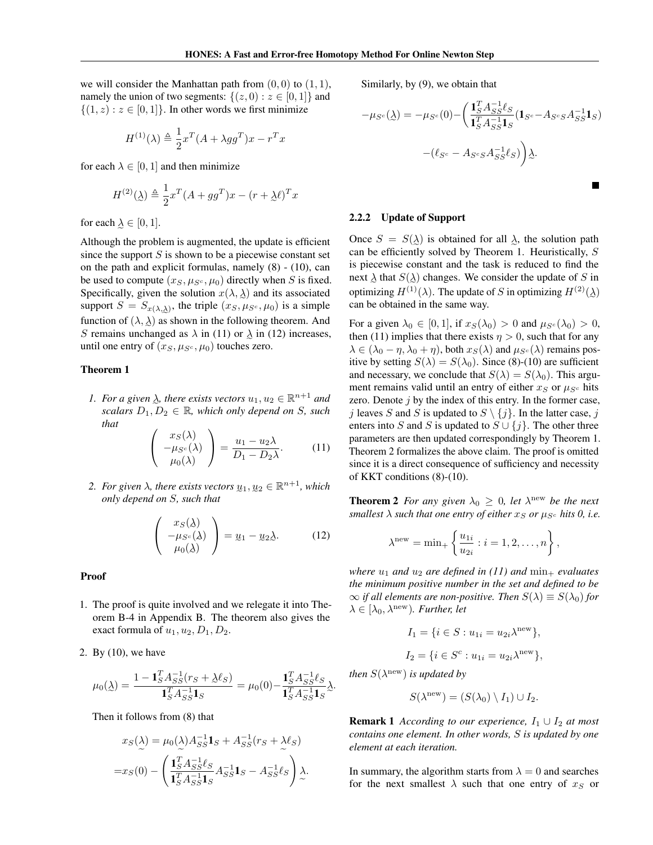we will consider the Manhattan path from  $(0, 0)$  to  $(1, 1)$ , namely the union of two segments:  $\{(z, 0) : z \in [0, 1]\}$  and  $\{(1, z) : z \in [0, 1]\}.$  In other words we first minimize

$$
H^{(1)}(\lambda) \triangleq \frac{1}{2} x^T (A + \lambda g g^T) x - r^T x
$$

for each  $\lambda \in [0, 1]$  and then minimize

$$
H^{(2)}(\underline{\lambda}) \triangleq \frac{1}{2}x^T(A + gg^T)x - (r + \underline{\lambda}\ell)^T x
$$

for each  $\lambda \in [0, 1]$ .

Although the problem is augmented, the update is efficient since the support  $S$  is shown to be a piecewise constant set on the path and explicit formulas, namely (8) - (10), can be used to compute  $(x_S, \mu_{S^c}, \mu_0)$  directly when S is fixed. Specifically, given the solution  $x(\lambda, \lambda)$  and its associated support  $S = S_{x(\lambda,\lambda)}$ , the triple  $(x_S, \mu_{S^c}, \mu_0)$  is a simple function of  $(\lambda, \lambda)$  as shown in the following theorem. And S remains unchanged as  $\lambda$  in (11) or  $\lambda$  in (12) increases, until one entry of  $(x_S, \mu_{S^c}, \mu_0)$  touches zero.

### Theorem 1

*1. For a given*  $\lambda$ , there exists vectors  $u_1, u_2 \in \mathbb{R}^{n+1}$  and  $\mathit{scalars} \ D_1, D_2 \in \mathbb{R}$ , which only depend on *S*, such *that*

$$
\begin{pmatrix} x_S(\lambda) \\ -\mu_{S^c}(\lambda) \\ \mu_0(\lambda) \end{pmatrix} = \frac{u_1 - u_2\lambda}{D_1 - D_2\lambda}.
$$
 (11)

2. For given  $\lambda$ , there exists vectors  $\underline{u}_1, \underline{u}_2 \in \mathbb{R}^{n+1}$ , which *only depend on* S*, such that*

$$
\begin{pmatrix} x_S(\lambda) \\ -\mu_{S^c}(\lambda) \\ \mu_0(\lambda) \end{pmatrix} = \underline{u}_1 - \underline{u}_2 \underline{\lambda}.
$$
 (12)

#### Proof

- 1. The proof is quite involved and we relegate it into Theorem B-4 in Appendix B. The theorem also gives the exact formula of  $u_1, u_2, D_1, D_2$ .
- 2. By (10), we have

$$
\mu_0(\underline{\lambda}) = \frac{1 - \mathbf{1}_S^T A_{SS}^{-1}(r_S + \underline{\lambda}\ell_S)}{\mathbf{1}_S^T A_{SS}^{-1} \mathbf{1}_S} = \mu_0(0) - \frac{\mathbf{1}_S^T A_{SS}^{-1} \ell_S}{\mathbf{1}_S^T A_{SS}^{-1} \mathbf{1}_S} \underline{\lambda}.
$$

Then it follows from (8) that

$$
x_S(\lambda) = \mu_0(\lambda) A_{SS}^{-1} \mathbf{1}_S + A_{SS}^{-1}(r_S + \lambda \ell_S)
$$
  
= 
$$
x_S(0) - \left( \frac{\mathbf{1}_S^T A_{SS}^{-1} \ell_S}{\mathbf{1}_S^T A_{SS}^{-1} \mathbf{1}_S} A_{SS}^{-1} \mathbf{1}_S - A_{SS}^{-1} \ell_S \right) \lambda.
$$

Similarly, by (9), we obtain that

$$
-\mu_{S^c}(\lambda) = -\mu_{S^c}(0) - \left(\frac{\mathbf{1}_S^T A_{SS}^{-1} \ell_S}{\mathbf{1}_S^T A_{SS}^{-1} \mathbf{1}_S} (\mathbf{1}_{S^c} - A_{S^c S} A_{SS}^{-1} \mathbf{1}_S) - (\ell_{S^c} - A_{S^c S} A_{SS}^{-1} \ell_S)\right)\lambda.
$$

#### 2.2.2 Update of Support

Once  $S = S(\lambda)$  is obtained for all  $\lambda$ , the solution path e e can be efficiently solved by Theorem 1. Heuristically, S is piecewise constant and the task is reduced to find the next  $\lambda$  that  $S(\lambda)$  changes. We consider the update of S in optimizing  $H^{(1)}(\lambda)$ . The update of S in optimizing  $H^{(2)}(\lambda)$ can be obtained in the same way.

For a given  $\lambda_0 \in [0,1]$ , if  $x_S(\lambda_0) > 0$  and  $\mu_{S^c}(\lambda_0) > 0$ , then (11) implies that there exists  $\eta > 0$ , such that for any  $\lambda \in (\lambda_0 - \eta, \lambda_0 + \eta)$ , both  $x_S(\lambda)$  and  $\mu_{S^c}(\lambda)$  remains positive by setting  $S(\lambda) = S(\lambda_0)$ . Since (8)-(10) are sufficient and necessary, we conclude that  $S(\lambda) = S(\lambda_0)$ . This argument remains valid until an entry of either  $x_S$  or  $\mu_{S^c}$  hits zero. Denote  $j$  by the index of this entry. In the former case, j leaves S and S is updated to  $S \setminus \{j\}$ . In the latter case, j enters into S and S is updated to  $S \cup \{j\}$ . The other three parameters are then updated correspondingly by Theorem 1. Theorem 2 formalizes the above claim. The proof is omitted since it is a direct consequence of sufficiency and necessity of KKT conditions (8)-(10).

**Theorem 2** For any given  $\lambda_0 \geq 0$ , let  $\lambda^{\text{new}}$  be the next *smallest*  $\lambda$  *such that one entry of either*  $x_S$  *or*  $\mu_{S^c}$  *hits* 0, *i.e.* 

$$
\lambda^{\text{new}} = \min_{+} \left\{ \frac{u_{1i}}{u_{2i}} : i = 1, 2, \dots, n \right\},\,
$$

*where*  $u_1$  *and*  $u_2$  *are defined in* (11) *and*  $\min_+$  *evaluates the minimum positive number in the set and defined to be*  $\infty$  *if all elements are non-positive. Then*  $S(\lambda) \equiv S(\lambda_0)$  *for*  $\lambda \in [\lambda_0, \lambda^{\text{new}})$ *. Further, let* 

$$
I_1 = \{ i \in S : u_{1i} = u_{2i} \lambda^{new} \},
$$
  

$$
I_2 = \{ i \in S^c : u_{1i} = u_{2i} \lambda^{new} \},
$$

*then*  $S(\lambda^{\text{new}})$  *is updated by* 

$$
S(\lambda^{\text{new}}) = (S(\lambda_0) \setminus I_1) \cup I_2.
$$

**Remark 1** *According to our experience,*  $I_1 \cup I_2$  *at most contains one element. In other words,* S *is updated by one element at each iteration.*

In summary, the algorithm starts from  $\lambda = 0$  and searches for the next smallest  $\lambda$  such that one entry of  $x_S$  or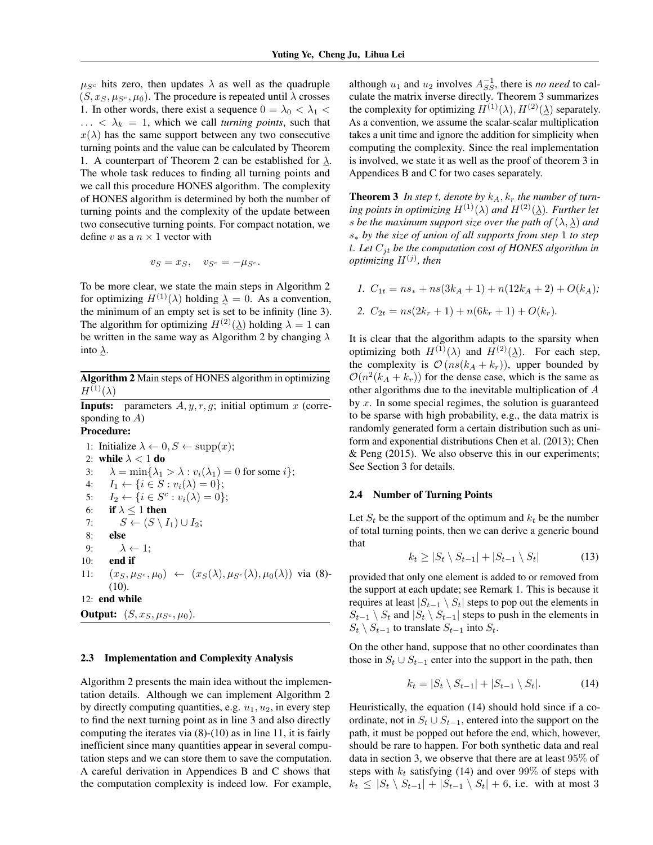$\mu_{S^c}$  hits zero, then updates  $\lambda$  as well as the quadruple  $(S, x<sub>S</sub>, \mu<sub>S<sup>c</sup></sub>, \mu<sub>0</sub>)$ . The procedure is repeated until  $\lambda$  crosses 1. In other words, there exist a sequence  $0 = \lambda_0 < \lambda_1 <$  $\ldots < \lambda_k = 1$ , which we call *turning points*, such that  $x(\lambda)$  has the same support between any two consecutive turning points and the value can be calculated by Theorem 1. A counterpart of Theorem 2 can be established for  $\lambda$ . The whole task reduces to finding all turning points and we call this procedure HONES algorithm. The complexity of HONES algorithm is determined by both the number of turning points and the complexity of the update between two consecutive turning points. For compact notation, we define v as a  $n \times 1$  vector with

$$
v_S = x_S, \quad v_{S^c} = -\mu_{S^c}.
$$

To be more clear, we state the main steps in Algorithm 2 for optimizing  $H^{(1)}(\lambda)$  holding  $\lambda = 0$ . As a convention, the minimum of an empty set is set to be infinity (line 3). The algorithm for optimizing  $H^{(2)}(\lambda)$  holding  $\lambda = 1$  can be written in the same way as Algorithm 2 by changing  $\lambda$ into  $\lambda$ .

Algorithm 2 Main steps of HONES algorithm in optimizing  $H^{(1)}(\lambda)$ 

**Inputs:** parameters  $A, y, r, g$ ; initial optimum x (corresponding to  $A$ )

### Procedure:

e

1: Initialize 
$$
\lambda \leftarrow 0
$$
,  $S \leftarrow$  supp(x);  
\n2: **while**  $\lambda < 1$  **do**  
\n3:  $\lambda = \min{\lambda_1 > \lambda : v_i(\lambda_1) = 0 \text{ for some } i};$   
\n4:  $I_1 \leftarrow {i \in S : v_i(\lambda) = 0};$   
\n5:  $I_2 \leftarrow {i \in S^c : v_i(\lambda) = 0};$   
\n6: **if**  $\lambda \le 1$  **then**  
\n7:  $S \leftarrow (S \setminus I_1) \cup I_2;$   
\n8: **else**  
\n9:  $\lambda \leftarrow 1;$   
\n10: **end if**  
\n11:  $(x_S, \mu_{S^c}, \mu_0) \leftarrow (x_S(\lambda), \mu_{S^c}(\lambda), \mu_0(\lambda))$  via (8)-(10).  
\n12: **end while**  
\n**Output:**  $(S, x_S, \mu_{S^c}, \mu_0)$ .

#### 2.3 Implementation and Complexity Analysis

Algorithm 2 presents the main idea without the implementation details. Although we can implement Algorithm 2 by directly computing quantities, e.g.  $u_1, u_2$ , in every step to find the next turning point as in line 3 and also directly computing the iterates via (8)-(10) as in line 11, it is fairly inefficient since many quantities appear in several computation steps and we can store them to save the computation. A careful derivation in Appendices B and C shows that the computation complexity is indeed low. For example,

although  $u_1$  and  $u_2$  involves  $A_{SS}^{-1}$ , there is *no need* to calculate the matrix inverse directly. Theorem 3 summarizes the complexity for optimizing  $H^{(1)}(\lambda), H^{(2)}(\lambda)$  separately. As a convention, we assume the scalar-scalar multiplication takes a unit time and ignore the addition for simplicity when computing the complexity. Since the real implementation is involved, we state it as well as the proof of theorem 3 in Appendices B and C for two cases separately.

**Theorem 3** In step t, denote by  $k_A$ ,  $k_r$  the number of turning points in optimizing  $H^{(1)}(\lambda)$  and  $H^{(2)}(\lambda)$ *. Further let s* be the maximum support size over the path of  $(\lambda, \lambda)$  and e s<sup>∗</sup> *by the size of union of all supports from step* 1 *to step* t*. Let* Cjt *be the computation cost of HONES algorithm in optimizing* H(j) *, then*

*1.*  $C_{1t} = ns_* + ns(3k_A + 1) + n(12k_A + 2) + O(k_A);$ 2.  $C_{2t} = ns(2k_r + 1) + n(6k_r + 1) + O(k_r)$ .

It is clear that the algorithm adapts to the sparsity when optimizing both  $H^{(1)}(\lambda)$  and  $H^{(2)}(\lambda)$ . For each step, the complexity is  $\mathcal{O}(ns(k_A + k_r))$ , upper bounded by  $\mathcal{O}(n^2(k_A + k_r))$  for the dense case, which is the same as other algorithms due to the inevitable multiplication of A by  $x$ . In some special regimes, the solution is guaranteed to be sparse with high probability, e.g., the data matrix is randomly generated form a certain distribution such as uniform and exponential distributions Chen et al. (2013); Chen & Peng (2015). We also observe this in our experiments; See Section 3 for details.

#### 2.4 Number of Turning Points

Let  $S_t$  be the support of the optimum and  $k_t$  be the number of total turning points, then we can derive a generic bound that

$$
k_t \ge |S_t \setminus S_{t-1}| + |S_{t-1} \setminus S_t| \tag{13}
$$

provided that only one element is added to or removed from the support at each update; see Remark 1. This is because it requires at least  $|S_{t-1} \setminus S_t|$  steps to pop out the elements in  $S_{t-1} \setminus S_t$  and  $|S_t \setminus S_{t-1}|$  steps to push in the elements in  $S_t \setminus S_{t-1}$  to translate  $S_{t-1}$  into  $S_t$ .

On the other hand, suppose that no other coordinates than those in  $S_t \cup S_{t-1}$  enter into the support in the path, then

$$
k_t = |S_t \setminus S_{t-1}| + |S_{t-1} \setminus S_t|.
$$
 (14)

Heuristically, the equation (14) should hold since if a coordinate, not in  $S_t \cup S_{t-1}$ , entered into the support on the path, it must be popped out before the end, which, however, should be rare to happen. For both synthetic data and real data in section 3, we observe that there are at least 95% of steps with  $k_t$  satisfying (14) and over 99% of steps with  $k_t \leq |S_t \setminus S_{t-1}| + |S_{t-1} \setminus S_t| + 6$ , i.e. with at most 3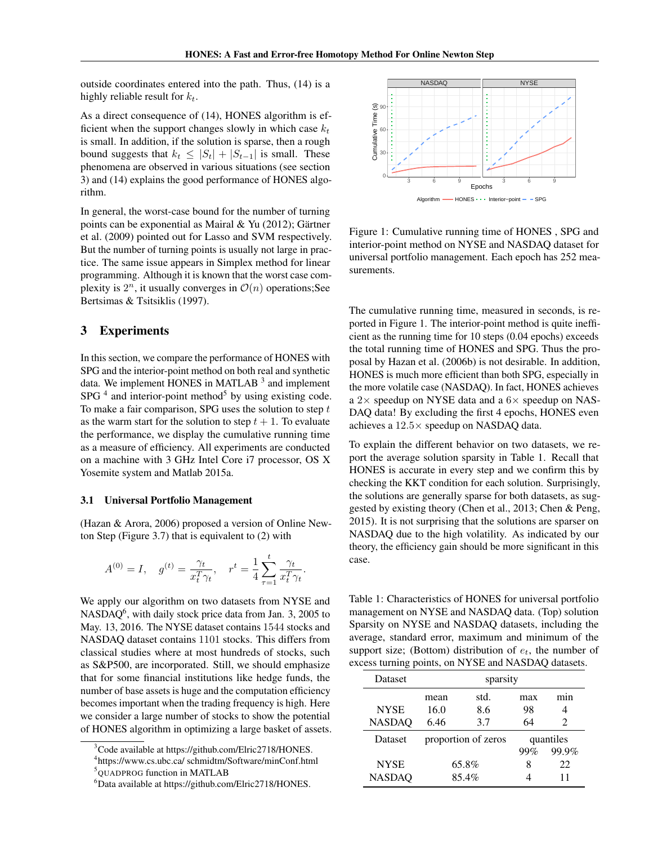outside coordinates entered into the path. Thus, (14) is a highly reliable result for  $k_t$ .

As a direct consequence of (14), HONES algorithm is efficient when the support changes slowly in which case  $k_t$ is small. In addition, if the solution is sparse, then a rough bound suggests that  $k_t \leq |S_t| + |S_{t-1}|$  is small. These phenomena are observed in various situations (see section 3) and (14) explains the good performance of HONES algorithm.

In general, the worst-case bound for the number of turning points can be exponential as Mairal & Yu (2012); Gärtner et al. (2009) pointed out for Lasso and SVM respectively. But the number of turning points is usually not large in practice. The same issue appears in Simplex method for linear programming. Although it is known that the worst case complexity is  $2^n$ , it usually converges in  $\mathcal{O}(n)$  operations; See Bertsimas & Tsitsiklis (1997).

### 3 Experiments

In this section, we compare the performance of HONES with SPG and the interior-point method on both real and synthetic data. We implement HONES in MATLAB<sup>3</sup> and implement SPG  $<sup>4</sup>$  and interior-point method<sup>5</sup> by using existing code.</sup> To make a fair comparison, SPG uses the solution to step  $t$ as the warm start for the solution to step  $t + 1$ . To evaluate the performance, we display the cumulative running time as a measure of efficiency. All experiments are conducted on a machine with 3 GHz Intel Core i7 processor, OS X Yosemite system and Matlab 2015a.

#### 3.1 Universal Portfolio Management

(Hazan & Arora, 2006) proposed a version of Online Newton Step (Figure 3.7) that is equivalent to (2) with

$$
A^{(0)} = I, \quad g^{(t)} = \frac{\gamma_t}{x_t^T \gamma_t}, \quad r^t = \frac{1}{4} \sum_{\tau=1}^t \frac{\gamma_t}{x_t^T \gamma_t}.
$$

We apply our algorithm on two datasets from NYSE and NASDAQ<sup>6</sup>, with daily stock price data from Jan. 3, 2005 to May. 13, 2016. The NYSE dataset contains 1544 stocks and NASDAQ dataset contains 1101 stocks. This differs from classical studies where at most hundreds of stocks, such as S&P500, are incorporated. Still, we should emphasize that for some financial institutions like hedge funds, the number of base assets is huge and the computation efficiency becomes important when the trading frequency is high. Here we consider a large number of stocks to show the potential of HONES algorithm in optimizing a large basket of assets.



Figure 1: Cumulative running time of HONES , SPG and interior-point method on NYSE and NASDAQ dataset for universal portfolio management. Each epoch has 252 measurements.

The cumulative running time, measured in seconds, is reported in Figure 1. The interior-point method is quite inefficient as the running time for 10 steps (0.04 epochs) exceeds the total running time of HONES and SPG. Thus the proposal by Hazan et al. (2006b) is not desirable. In addition, HONES is much more efficient than both SPG, especially in the more volatile case (NASDAQ). In fact, HONES achieves a  $2\times$  speedup on NYSE data and a  $6\times$  speedup on NAS-DAQ data! By excluding the first 4 epochs, HONES even achieves a 12.5× speedup on NASDAQ data.

To explain the different behavior on two datasets, we report the average solution sparsity in Table 1. Recall that HONES is accurate in every step and we confirm this by checking the KKT condition for each solution. Surprisingly, the solutions are generally sparse for both datasets, as suggested by existing theory (Chen et al., 2013; Chen & Peng, 2015). It is not surprising that the solutions are sparser on NASDAQ due to the high volatility. As indicated by our theory, the efficiency gain should be more significant in this case.

Table 1: Characteristics of HONES for universal portfolio management on NYSE and NASDAQ data. (Top) solution Sparsity on NYSE and NASDAQ datasets, including the average, standard error, maximum and minimum of the support size; (Bottom) distribution of  $e_t$ , the number of excess turning points, on NYSE and NASDAQ datasets.

| Dataset       | sparsity            |      |           |                       |
|---------------|---------------------|------|-----------|-----------------------|
|               | mean                | std. | max       | mın                   |
| <b>NYSE</b>   | 16.0                | 8.6  | 98        | 4                     |
| <b>NASDAQ</b> | 6.46                | 3.7  | 64        | $\mathcal{D}_{\cdot}$ |
| Dataset       | proportion of zeros |      | quantiles |                       |
|               |                     |      | 99%       | 99.9%                 |
| <b>NYSE</b>   | 65.8%               |      | 8         | 22                    |
| <b>NASDAQ</b> | 85.4%               |      |           | 11                    |

<sup>&</sup>lt;sup>3</sup>Code available at https://github.com/Elric2718/HONES.

<sup>4</sup> https://www.cs.ubc.ca/ schmidtm/Software/minConf.html

<sup>&</sup>lt;sup>5</sup>QUADPROG function in MATLAB

<sup>6</sup>Data available at https://github.com/Elric2718/HONES.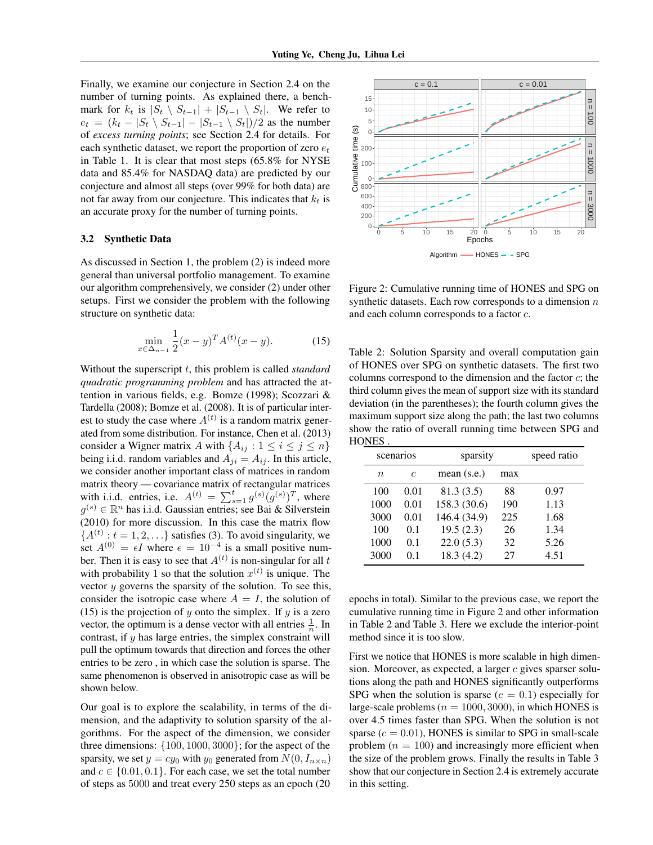Finally, we examine our conjecture in Section 2.4 on the number of turning points. As explained there, a benchmark for  $k_t$  is  $|S_t \setminus S_{t-1}| + |S_{t-1} \setminus S_t|$ . We refer to  $e_t = (k_t - |S_t \setminus S_{t-1}| - |S_{t-1} \setminus S_t|)/2$  as the number of *excess turning points*; see Section 2.4 for details. For each synthetic dataset, we report the proportion of zero  $e_t$ in Table 1. It is clear that most steps (65.8% for NYSE data and 85.4% for NASDAQ data) are predicted by our conjecture and almost all steps (over 99% for both data) are not far away from our conjecture. This indicates that  $k_t$  is an accurate proxy for the number of turning points.

#### 3.2 Synthetic Data

As discussed in Section 1, the problem (2) is indeed more general than universal portfolio management. To examine our algorithm comprehensively, we consider (2) under other setups. First we consider the problem with the following structure on synthetic data:

$$
\min_{x \in \Delta_{n-1}} \frac{1}{2} (x - y)^T A^{(t)} (x - y).
$$
 (15)

Without the superscript t, this problem is called *standard quadratic programming problem* and has attracted the attention in various fields, e.g. Bomze (1998); Scozzari & Tardella (2008); Bomze et al. (2008). It is of particular interest to study the case where  $A^{(t)}$  is a random matrix generated from some distribution. For instance, Chen et al. (2013) consider a Wigner matrix A with  $\{A_{ij} : 1 \le i \le j \le n\}$ being i.i.d. random variables and  $A_{ji} = A_{ij}$ . In this article, we consider another important class of matrices in random matrix theory — covariance matrix of rectangular matrices with i.i.d. entries, i.e.  $A^{(t)} = \sum_{s=1}^{t} g^{(s)}(g^{(s)})^T$ , where  $g^{(s)} \in \mathbb{R}^n$  has i.i.d. Gaussian entries; see Bai & Silverstein (2010) for more discussion. In this case the matrix flow  ${A^{(t)}: t = 1, 2, \ldots}$  satisfies (3). To avoid singularity, we set  $A^{(0)} = \epsilon I$  where  $\epsilon = 10^{-4}$  is a small positive number. Then it is easy to see that  $A^{(t)}$  is non-singular for all t with probability 1 so that the solution  $x^{(t)}$  is unique. The vector  $y$  governs the sparsity of the solution. To see this, consider the isotropic case where  $A = I$ , the solution of (15) is the projection of y onto the simplex. If y is a zero vector, the optimum is a dense vector with all entries  $\frac{1}{n}$ . In contrast, if  $y$  has large entries, the simplex constraint will pull the optimum towards that direction and forces the other entries to be zero , in which case the solution is sparse. The same phenomenon is observed in anisotropic case as will be shown below.

Our goal is to explore the scalability, in terms of the dimension, and the adaptivity to solution sparsity of the algorithms. For the aspect of the dimension, we consider three dimensions: {100, 1000, 3000}; for the aspect of the sparsity, we set  $y = cy_0$  with  $y_0$  generated from  $N(0, I_{n \times n})$ and  $c \in \{0.01, 0.1\}$ . For each case, we set the total number of steps as 5000 and treat every 250 steps as an epoch (20



Figure 2: Cumulative running time of HONES and SPG on synthetic datasets. Each row corresponds to a dimension  $n$ and each column corresponds to a factor c.

Table 2: Solution Sparsity and overall computation gain of HONES over SPG on synthetic datasets. The first two columns correspond to the dimension and the factor  $c$ ; the third column gives the mean of support size with its standard deviation (in the parentheses); the fourth column gives the maximum support size along the path; the last two columns show the ratio of overall running time between SPG and **HONES** 

| scenarios |            | sparsity      |     | speed ratio |
|-----------|------------|---------------|-----|-------------|
| $\eta$    | $\epsilon$ | mean $(s.e.)$ | max |             |
| 100       | 0.01       | 81.3 (3.5)    | 88  | 0.97        |
| 1000      | 0.01       | 158.3 (30.6)  | 190 | 1.13        |
| 3000      | 0.01       | 146.4 (34.9)  | 225 | 1.68        |
| 100       | 0.1        | 19.5(2.3)     | 26  | 1.34        |
| 1000      | 0.1        | 22.0(5.3)     | 32  | 5.26        |
| 3000      | 01         | 18.3(4.2)     | 27  | 4.51        |

epochs in total). Similar to the previous case, we report the cumulative running time in Figure 2 and other information in Table 2 and Table 3. Here we exclude the interior-point method since it is too slow.

First we notice that HONES is more scalable in high dimension. Moreover, as expected, a larger  $c$  gives sparser solutions along the path and HONES significantly outperforms SPG when the solution is sparse ( $c = 0.1$ ) especially for large-scale problems ( $n = 1000, 3000$ ), in which HONES is over 4.5 times faster than SPG. When the solution is not sparse ( $c = 0.01$ ), HONES is similar to SPG in small-scale problem  $(n = 100)$  and increasingly more efficient when the size of the problem grows. Finally the results in Table 3 show that our conjecture in Section 2.4 is extremely accurate in this setting.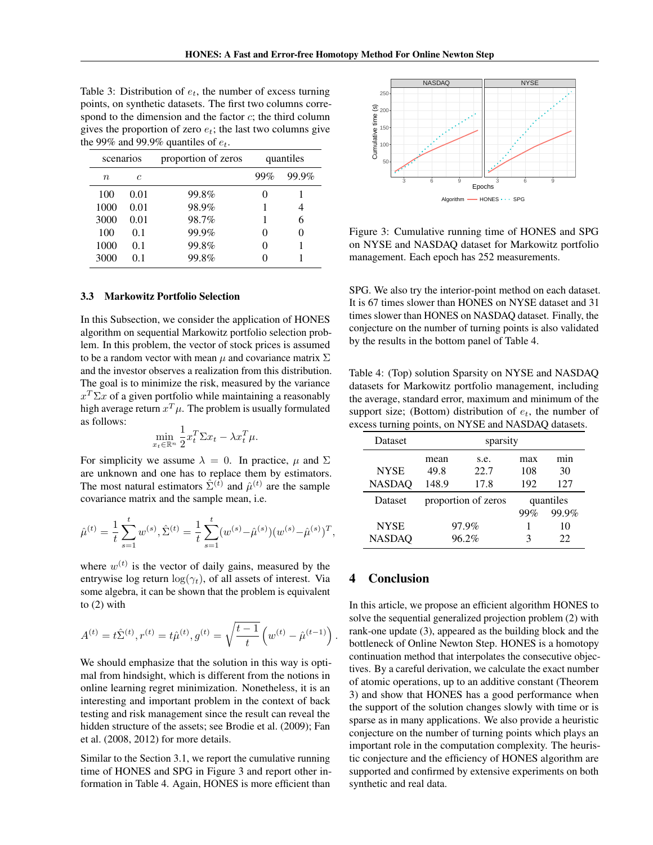Table 3: Distribution of  $e_t$ , the number of excess turning points, on synthetic datasets. The first two columns correspond to the dimension and the factor  $c$ ; the third column gives the proportion of zero  $e_t$ ; the last two columns give the 99% and 99.9% quantiles of  $e_t$ .

| scenarios   |      | proportion of zeros | quantiles |       |
|-------------|------|---------------------|-----------|-------|
| $n_{\rm c}$ | C    |                     | 99%       | 99.9% |
| 100         | 0.01 | 99.8%               |           |       |
| 1000        | 0.01 | 98.9%               |           |       |
| 3000        | 0.01 | 98.7%               |           | 6     |
| 100         | 0.1  | 99.9%               |           |       |
| 1000        | 0.1  | 99.8%               |           |       |
| 3000        | 0.1  | 99.8%               |           |       |

### 3.3 Markowitz Portfolio Selection

In this Subsection, we consider the application of HONES algorithm on sequential Markowitz portfolio selection problem. In this problem, the vector of stock prices is assumed to be a random vector with mean  $\mu$  and covariance matrix  $\Sigma$ and the investor observes a realization from this distribution. The goal is to minimize the risk, measured by the variance  $x^T \Sigma x$  of a given portfolio while maintaining a reasonably high average return  $x^T\mu$ . The problem is usually formulated as follows:

$$
\min_{x_t \in \mathbb{R}^n} \frac{1}{2} x_t^T \Sigma x_t - \lambda x_t^T \mu.
$$

For simplicity we assume  $\lambda = 0$ . In practice,  $\mu$  and  $\Sigma$ are unknown and one has to replace them by estimators. The most natural estimators  $\hat{\Sigma}^{(\hat{t})}$  and  $\hat{\mu}^{(t)}$  are the sample covariance matrix and the sample mean, i.e.

$$
\hat{\mu}^{(t)} = \frac{1}{t} \sum_{s=1}^{t} w^{(s)}, \hat{\Sigma}^{(t)} = \frac{1}{t} \sum_{s=1}^{t} (w^{(s)} - \hat{\mu}^{(s)}) (w^{(s)} - \hat{\mu}^{(s)})^T,
$$

where  $w^{(t)}$  is the vector of daily gains, measured by the entrywise log return  $\log(\gamma_t)$ , of all assets of interest. Via some algebra, it can be shown that the problem is equivalent to (2) with

$$
A^{(t)} = t\hat{\Sigma}^{(t)}, r^{(t)} = t\hat{\mu}^{(t)}, g^{(t)} = \sqrt{\frac{t-1}{t}} \left( w^{(t)} - \hat{\mu}^{(t-1)} \right)
$$

We should emphasize that the solution in this way is optimal from hindsight, which is different from the notions in online learning regret minimization. Nonetheless, it is an interesting and important problem in the context of back testing and risk management since the result can reveal the hidden structure of the assets; see Brodie et al. (2009); Fan et al. (2008, 2012) for more details.

Similar to the Section 3.1, we report the cumulative running time of HONES and SPG in Figure 3 and report other information in Table 4. Again, HONES is more efficient than



Figure 3: Cumulative running time of HONES and SPG on NYSE and NASDAQ dataset for Markowitz portfolio management. Each epoch has 252 measurements.

SPG. We also try the interior-point method on each dataset. It is 67 times slower than HONES on NYSE dataset and 31 times slower than HONES on NASDAQ dataset. Finally, the conjecture on the number of turning points is also validated by the results in the bottom panel of Table 4.

Table 4: (Top) solution Sparsity on NYSE and NASDAQ datasets for Markowitz portfolio management, including the average, standard error, maximum and minimum of the support size; (Bottom) distribution of  $e_t$ , the number of excess turning points, on NYSE and NASDAQ datasets.

| Dataset       | sparsity |                     |     |           |
|---------------|----------|---------------------|-----|-----------|
|               | mean     | s.e.                | max | mın       |
| <b>NYSE</b>   | 49.8     | 22.7                | 108 | 30        |
| <b>NASDAQ</b> | 148.9    | 17.8                | 192 | 127       |
|               |          |                     |     |           |
| Dataset       |          | proportion of zeros |     | quantiles |
|               |          |                     | 99% | 99.9%     |
| <b>NYSE</b>   |          | 97.9%               |     | 10        |

# 4 Conclusion

.

In this article, we propose an efficient algorithm HONES to solve the sequential generalized projection problem (2) with rank-one update (3), appeared as the building block and the bottleneck of Online Newton Step. HONES is a homotopy continuation method that interpolates the consecutive objectives. By a careful derivation, we calculate the exact number of atomic operations, up to an additive constant (Theorem 3) and show that HONES has a good performance when the support of the solution changes slowly with time or is sparse as in many applications. We also provide a heuristic conjecture on the number of turning points which plays an important role in the computation complexity. The heuristic conjecture and the efficiency of HONES algorithm are supported and confirmed by extensive experiments on both synthetic and real data.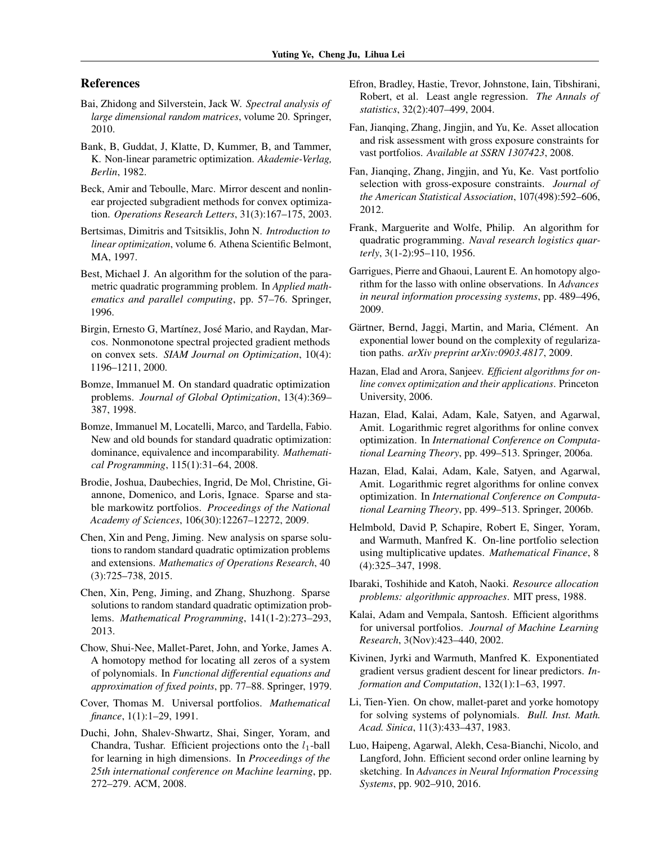# References

- Bai, Zhidong and Silverstein, Jack W. *Spectral analysis of large dimensional random matrices*, volume 20. Springer, 2010.
- Bank, B, Guddat, J, Klatte, D, Kummer, B, and Tammer, K. Non-linear parametric optimization. *Akademie-Verlag, Berlin*, 1982.
- Beck, Amir and Teboulle, Marc. Mirror descent and nonlinear projected subgradient methods for convex optimization. *Operations Research Letters*, 31(3):167–175, 2003.
- Bertsimas, Dimitris and Tsitsiklis, John N. *Introduction to linear optimization*, volume 6. Athena Scientific Belmont, MA, 1997.
- Best, Michael J. An algorithm for the solution of the parametric quadratic programming problem. In *Applied mathematics and parallel computing*, pp. 57–76. Springer, 1996.
- Birgin, Ernesto G, Martínez, José Mario, and Raydan, Marcos. Nonmonotone spectral projected gradient methods on convex sets. *SIAM Journal on Optimization*, 10(4): 1196–1211, 2000.
- Bomze, Immanuel M. On standard quadratic optimization problems. *Journal of Global Optimization*, 13(4):369– 387, 1998.
- Bomze, Immanuel M, Locatelli, Marco, and Tardella, Fabio. New and old bounds for standard quadratic optimization: dominance, equivalence and incomparability. *Mathematical Programming*, 115(1):31–64, 2008.
- Brodie, Joshua, Daubechies, Ingrid, De Mol, Christine, Giannone, Domenico, and Loris, Ignace. Sparse and stable markowitz portfolios. *Proceedings of the National Academy of Sciences*, 106(30):12267–12272, 2009.
- Chen, Xin and Peng, Jiming. New analysis on sparse solutions to random standard quadratic optimization problems and extensions. *Mathematics of Operations Research*, 40 (3):725–738, 2015.
- Chen, Xin, Peng, Jiming, and Zhang, Shuzhong. Sparse solutions to random standard quadratic optimization problems. *Mathematical Programming*, 141(1-2):273–293, 2013.
- Chow, Shui-Nee, Mallet-Paret, John, and Yorke, James A. A homotopy method for locating all zeros of a system of polynomials. In *Functional differential equations and approximation of fixed points*, pp. 77–88. Springer, 1979.
- Cover, Thomas M. Universal portfolios. *Mathematical finance*, 1(1):1–29, 1991.
- Duchi, John, Shalev-Shwartz, Shai, Singer, Yoram, and Chandra, Tushar. Efficient projections onto the  $l_1$ -ball for learning in high dimensions. In *Proceedings of the 25th international conference on Machine learning*, pp. 272–279. ACM, 2008.
- Efron, Bradley, Hastie, Trevor, Johnstone, Iain, Tibshirani, Robert, et al. Least angle regression. *The Annals of statistics*, 32(2):407–499, 2004.
- Fan, Jianqing, Zhang, Jingjin, and Yu, Ke. Asset allocation and risk assessment with gross exposure constraints for vast portfolios. *Available at SSRN 1307423*, 2008.
- Fan, Jianqing, Zhang, Jingjin, and Yu, Ke. Vast portfolio selection with gross-exposure constraints. *Journal of the American Statistical Association*, 107(498):592–606, 2012.
- Frank, Marguerite and Wolfe, Philip. An algorithm for quadratic programming. *Naval research logistics quarterly*, 3(1-2):95–110, 1956.
- Garrigues, Pierre and Ghaoui, Laurent E. An homotopy algorithm for the lasso with online observations. In *Advances in neural information processing systems*, pp. 489–496, 2009.
- Gärtner, Bernd, Jaggi, Martin, and Maria, Clément. An exponential lower bound on the complexity of regularization paths. *arXiv preprint arXiv:0903.4817*, 2009.
- Hazan, Elad and Arora, Sanjeev. *Efficient algorithms for online convex optimization and their applications*. Princeton University, 2006.
- Hazan, Elad, Kalai, Adam, Kale, Satyen, and Agarwal, Amit. Logarithmic regret algorithms for online convex optimization. In *International Conference on Computational Learning Theory*, pp. 499–513. Springer, 2006a.
- Hazan, Elad, Kalai, Adam, Kale, Satyen, and Agarwal, Amit. Logarithmic regret algorithms for online convex optimization. In *International Conference on Computational Learning Theory*, pp. 499–513. Springer, 2006b.
- Helmbold, David P, Schapire, Robert E, Singer, Yoram, and Warmuth, Manfred K. On-line portfolio selection using multiplicative updates. *Mathematical Finance*, 8 (4):325–347, 1998.
- Ibaraki, Toshihide and Katoh, Naoki. *Resource allocation problems: algorithmic approaches*. MIT press, 1988.
- Kalai, Adam and Vempala, Santosh. Efficient algorithms for universal portfolios. *Journal of Machine Learning Research*, 3(Nov):423–440, 2002.
- Kivinen, Jyrki and Warmuth, Manfred K. Exponentiated gradient versus gradient descent for linear predictors. *Information and Computation*, 132(1):1–63, 1997.
- Li, Tien-Yien. On chow, mallet-paret and yorke homotopy for solving systems of polynomials. *Bull. Inst. Math. Acad. Sinica*, 11(3):433–437, 1983.
- Luo, Haipeng, Agarwal, Alekh, Cesa-Bianchi, Nicolo, and Langford, John. Efficient second order online learning by sketching. In *Advances in Neural Information Processing Systems*, pp. 902–910, 2016.